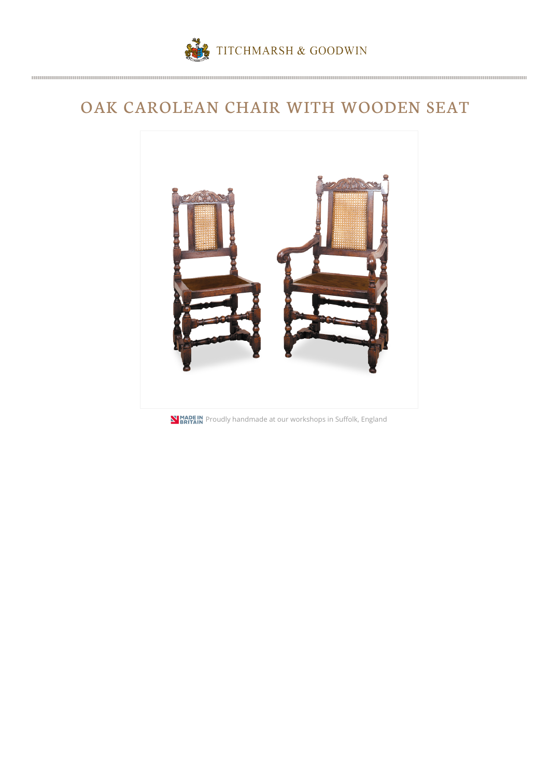

## OAK CAROLEAN CHAIR WITH WOODEN SEAT



**NIMADE IN**<br>**PRITAIN** Proudly handmade at our workshops in Suffolk, England